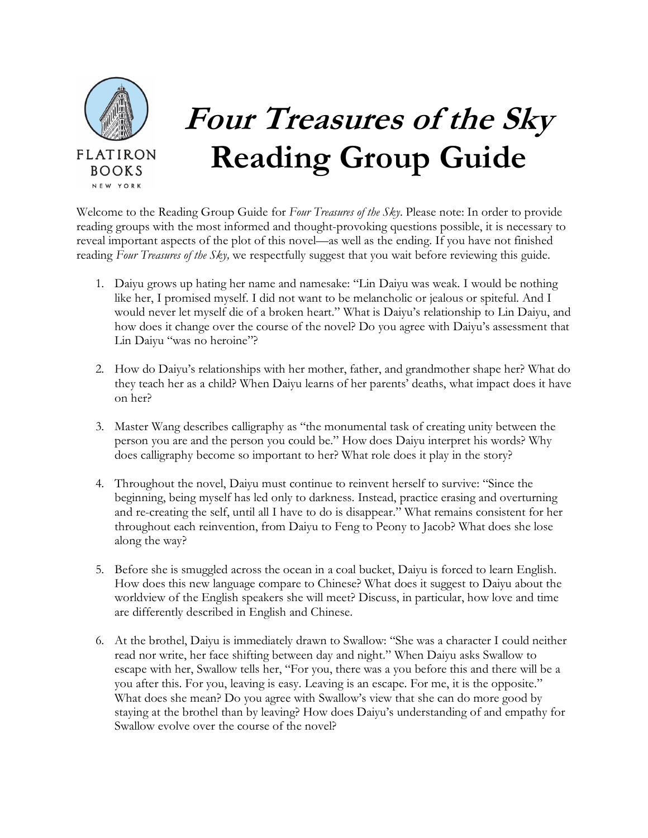

## **Four Treasures of the Sky Reading Group Guide**

Welcome to the Reading Group Guide for *Four Treasures of the Sky*. Please note: In order to provide reading groups with the most informed and thought-provoking questions possible, it is necessary to reveal important aspects of the plot of this novel—as well as the ending. If you have not finished reading *Four Treasures of the Sky,* we respectfully suggest that you wait before reviewing this guide.

- 1. Daiyu grows up hating her name and namesake: "Lin Daiyu was weak. I would be nothing like her, I promised myself. I did not want to be melancholic or jealous or spiteful. And I would never let myself die of a broken heart." What is Daiyu's relationship to Lin Daiyu, and how does it change over the course of the novel? Do you agree with Daiyu's assessment that Lin Daiyu "was no heroine"?
- 2. How do Daiyu's relationships with her mother, father, and grandmother shape her? What do they teach her as a child? When Daiyu learns of her parents' deaths, what impact does it have on her?
- 3. Master Wang describes calligraphy as "the monumental task of creating unity between the person you are and the person you could be." How does Daiyu interpret his words? Why does calligraphy become so important to her? What role does it play in the story?
- 4. Throughout the novel, Daiyu must continue to reinvent herself to survive: "Since the beginning, being myself has led only to darkness. Instead, practice erasing and overturning and re-creating the self, until all I have to do is disappear." What remains consistent for her throughout each reinvention, from Daiyu to Feng to Peony to Jacob? What does she lose along the way?
- 5. Before she is smuggled across the ocean in a coal bucket, Daiyu is forced to learn English. How does this new language compare to Chinese? What does it suggest to Daiyu about the worldview of the English speakers she will meet? Discuss, in particular, how love and time are differently described in English and Chinese.
- 6. At the brothel, Daiyu is immediately drawn to Swallow: "She was a character I could neither read nor write, her face shifting between day and night." When Daiyu asks Swallow to escape with her, Swallow tells her, "For you, there was a you before this and there will be a you after this. For you, leaving is easy. Leaving is an escape. For me, it is the opposite." What does she mean? Do you agree with Swallow's view that she can do more good by staying at the brothel than by leaving? How does Daiyu's understanding of and empathy for Swallow evolve over the course of the novel?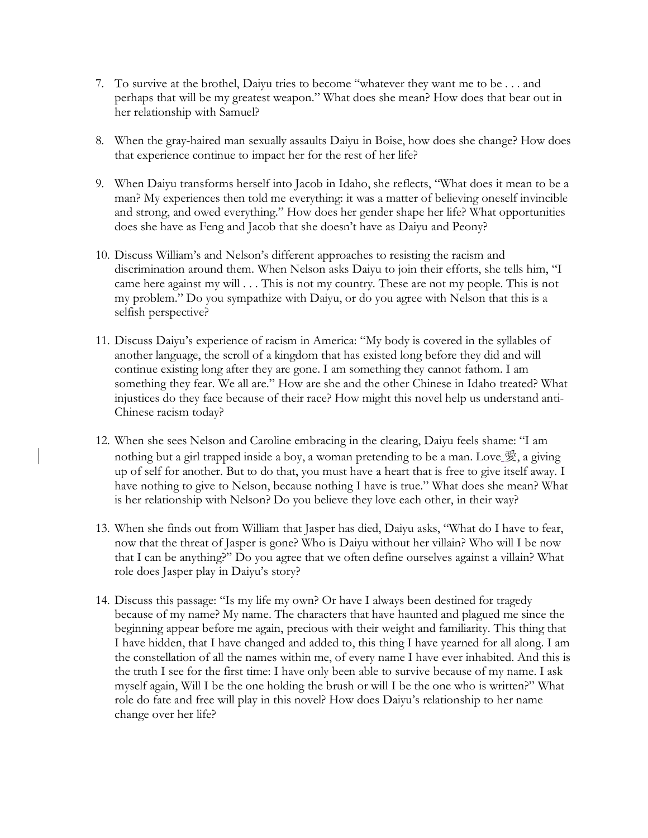- 7. To survive at the brothel, Daiyu tries to become "whatever they want me to be . . . and perhaps that will be my greatest weapon." What does she mean? How does that bear out in her relationship with Samuel?
- 8. When the gray-haired man sexually assaults Daiyu in Boise, how does she change? How does that experience continue to impact her for the rest of her life?
- 9. When Daiyu transforms herself into Jacob in Idaho, she reflects, "What does it mean to be a man? My experiences then told me everything: it was a matter of believing oneself invincible and strong, and owed everything." How does her gender shape her life? What opportunities does she have as Feng and Jacob that she doesn't have as Daiyu and Peony?
- 10. Discuss William's and Nelson's different approaches to resisting the racism and discrimination around them. When Nelson asks Daiyu to join their efforts, she tells him, "I came here against my will . . . This is not my country. These are not my people. This is not my problem." Do you sympathize with Daiyu, or do you agree with Nelson that this is a selfish perspective?
- 11. Discuss Daiyu's experience of racism in America: "My body is covered in the syllables of another language, the scroll of a kingdom that has existed long before they did and will continue existing long after they are gone. I am something they cannot fathom. I am something they fear. We all are." How are she and the other Chinese in Idaho treated? What injustices do they face because of their race? How might this novel help us understand anti-Chinese racism today?
- 12. When she sees Nelson and Caroline embracing in the clearing, Daiyu feels shame: "I am nothing but a girl trapped inside a boy, a woman pretending to be a man. Love  $\mathcal{F}_2$ , a giving up of self for another. But to do that, you must have a heart that is free to give itself away. I have nothing to give to Nelson, because nothing I have is true." What does she mean? What is her relationship with Nelson? Do you believe they love each other, in their way?
- 13. When she finds out from William that Jasper has died, Daiyu asks, "What do I have to fear, now that the threat of Jasper is gone? Who is Daiyu without her villain? Who will I be now that I can be anything?" Do you agree that we often define ourselves against a villain? What role does Jasper play in Daiyu's story?
- 14. Discuss this passage: "Is my life my own? Or have I always been destined for tragedy because of my name? My name. The characters that have haunted and plagued me since the beginning appear before me again, precious with their weight and familiarity. This thing that I have hidden, that I have changed and added to, this thing I have yearned for all along. I am the constellation of all the names within me, of every name I have ever inhabited. And this is the truth I see for the first time: I have only been able to survive because of my name. I ask myself again, Will I be the one holding the brush or will I be the one who is written?" What role do fate and free will play in this novel? How does Daiyu's relationship to her name change over her life?